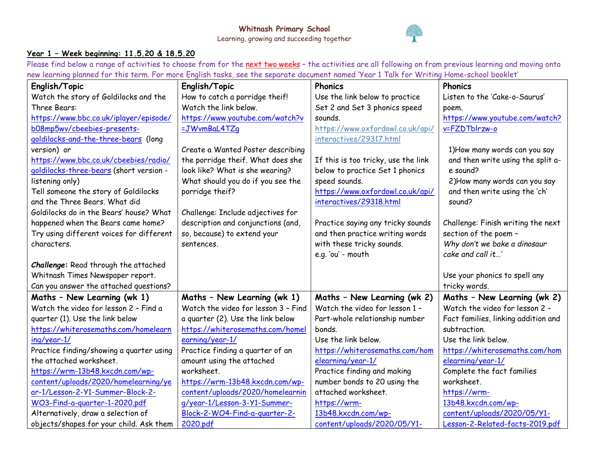

## **Year 1 – Week beginning: 11.5.20 & 18.5.20**

Please find below a range of activities to choose from for the next two weeks - the activities are all following on from previous learning and moving onto new learning planned for this term. For more English tasks, see the separate document named 'Year 1 Talk for Writing Home-school booklet'

| English/Topic                            | English/Topic                       | <b>Phonics</b>                      | Phonics                             |
|------------------------------------------|-------------------------------------|-------------------------------------|-------------------------------------|
| Watch the story of Goldilocks and the    | How to catch a porridge theif!      | Use the link below to practice      | Listen to the 'Cake-o-Saurus'       |
| Three Bears:                             | Watch the link below.               | Set 2 and Set 3 phonics speed       | poem.                               |
| https://www.bbc.co.uk/iplayer/episode/   | https://www.youtube.com/watch?v     | sounds.                             | https://www.youtube.com/watch?      |
| b08mp5wv/cbeebies-presents-              | =JWvmBaL4TZq                        | https://www.oxfordowl.co.uk/api/    | v=FZDTblrzw-o                       |
| goldilocks-and-the-three-bears (long     |                                     | interactives/29317.html             |                                     |
| version) or                              | Create a Wanted Poster describing   |                                     | 1) How many words can you say       |
| https://www.bbc.co.uk/cbeebies/radio/    | the porridge theif. What does she   | If this is too tricky, use the link | and then write using the split a-   |
| goldilocks-three-bears (short version -  | look like? What is she wearing?     | below to practice Set 1 phonics     | e sound?                            |
| listening only)                          | What should you do if you see the   | speed sounds.                       | 2) How many words can you say       |
| Tell someone the story of Goldilocks     | porridge theif?                     | https://www.oxfordowl.co.uk/api/    | and then write using the 'ch'       |
| and the Three Bears. What did            |                                     | interactives/29318.html             | sound?                              |
| Goldilocks do in the Bears' house? What  | Challenge: Include adjectives for   |                                     |                                     |
| happened when the Bears came home?       | description and conjunctions (and,  | Practice saying any tricky sounds   | Challenge: Finish writing the next  |
| Try using different voices for different | so, because) to extend your         | and then practice writing words     | section of the poem -               |
| characters.                              | sentences.                          | with these tricky sounds.           | Why don't we bake a dinosaur        |
|                                          |                                     | e.g. 'ou' - mouth                   | cake and call it'                   |
| Challenge: Read through the attached     |                                     |                                     |                                     |
| Whitnash Times Newspaper report.         |                                     |                                     | Use your phonics to spell any       |
| Can you answer the attached questions?   |                                     |                                     | tricky words.                       |
| Maths - New Learning (wk 1)              | Maths - New Learning (wk 1)         | Maths - New Learning (wk 2)         | Maths - New Learning (wk 2)         |
| Watch the video for lesson 2 - Find a    | Watch the video for lesson 3 - Find | Watch the video for lesson 1 -      | Watch the video for lesson 2 -      |
| quarter (1). Use the link below          | a quarter (2). Use the link below   | Part-whole relationship number      | Fact families, linking addition and |
| https://whiterosemaths.com/homelearn     | https://whiterosemaths.com/homel    | bonds.                              | subtraction.                        |
| ing/year-1/                              | earning/year-1/                     | Use the link below.                 | Use the link below.                 |
| Practice finding/showing a quarter using | Practice finding a quarter of an    | https://whiterosemaths.com/hom      | https://whiterosemaths.com/hom      |
| the attached worksheet.                  | amount using the attached           | elearning/year-1/                   | elearning/year-1/                   |
| https://wrm-13b48.kxcdn.com/wp-          | worksheet.                          | Practice finding and making         | Complete the fact families          |
| content/uploads/2020/homelearning/ye     | https://wrm-13b48.kxcdn.com/wp-     | number bonds to 20 using the        | worksheet.                          |
| ar-1/Lesson-2-Y1-Summer-Block-2-         | content/uploads/2020/homelearnin    | attached worksheet.                 | https://wrm-                        |
| WO3-Find-a-guarter-1-2020.pdf            | g/year-1/Lesson-3-Y1-Summer-        | https://wrm-                        | 13b48.kxcdn.com/wp-                 |
| Alternatively, draw a selection of       | Block-2-WO4-Find-a-quarter-2-       | 13b48.kxcdn.com/wp-                 | content/uploads/2020/05/Y1-         |
| objects/shapes for your child. Ask them  | 2020.pdf                            | content/uploads/2020/05/Y1-         | Lesson-2-Related-facts-2019.pdf     |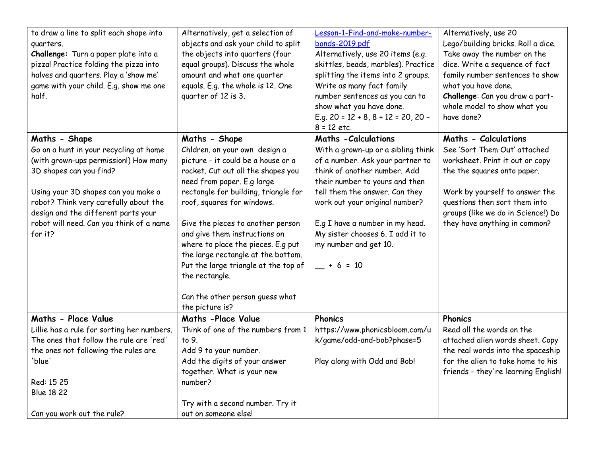| to draw a line to split each shape into<br>quarters.<br>Challenge: Turn a paper plate into a<br>pizza! Practice folding the pizza into<br>halves and quarters. Play a 'show me'<br>game with your child. E.g. show me one<br>half.                                                                        | Alternatively, get a selection of<br>objects and ask your child to split<br>the objects into quarters (four<br>equal groups). Discuss the whole<br>amount and what one quarter<br>equals. E.g. the whole is 12. One<br>quarter of 12 is 3.                                                                                                                                                                                                                                    | Lesson-1-Find-and-make-number-<br>bonds-2019.pdf<br>Alternatively, use 20 items (e.g.<br>skittles, beads, marbles). Practice<br>splitting the items into 2 groups.<br>Write as many fact family<br>number sentences as you can to<br>show what you have done.<br>E.g. $20 = 12 + 8$ , $8 + 12 = 20$ , $20 -$<br>$8 = 12$ etc.                             | Alternatively, use 20<br>Lego/building bricks. Roll a dice.<br>Take away the number on the<br>dice. Write a sequence of fact<br>family number sentences to show<br>what you have done.<br>Challenge: Can you draw a part-<br>whole model to show what you<br>have done? |
|-----------------------------------------------------------------------------------------------------------------------------------------------------------------------------------------------------------------------------------------------------------------------------------------------------------|-------------------------------------------------------------------------------------------------------------------------------------------------------------------------------------------------------------------------------------------------------------------------------------------------------------------------------------------------------------------------------------------------------------------------------------------------------------------------------|-----------------------------------------------------------------------------------------------------------------------------------------------------------------------------------------------------------------------------------------------------------------------------------------------------------------------------------------------------------|-------------------------------------------------------------------------------------------------------------------------------------------------------------------------------------------------------------------------------------------------------------------------|
| Maths - Shape<br>Go on a hunt in your recycling at home<br>(with grown-ups permission!) How many<br>3D shapes can you find?<br>Using your 3D shapes can you make a<br>robot? Think very carefully about the<br>design and the different parts your<br>robot will need. Can you think of a name<br>for it? | Maths - Shape<br>Chldren. on your own design a<br>picture - it could be a house or a<br>rocket. Cut out all the shapes you<br>need from paper. E.g large<br>rectangle for building, triangle for<br>roof, squares for windows.<br>Give the pieces to another person<br>and give them instructions on<br>where to place the pieces. E.g put<br>the large rectangle at the bottom.<br>Put the large triangle at the top of<br>the rectangle.<br>Can the other person guess what | <b>Maths - Calculations</b><br>With a grown-up or a sibling think<br>of a number. Ask your partner to<br>think of another number. Add<br>their number to yours and then<br>tell them the answer. Can they<br>work out your original number?<br>E.g I have a number in my head.<br>My sister chooses 6. I add it to<br>my number and get 10.<br>$+ 6 = 10$ | Maths - Calculations<br>See 'Sort Them Out' attached<br>worksheet. Print it out or copy<br>the the squares onto paper.<br>Work by yourself to answer the<br>questions then sort them into<br>groups (like we do in Science!) Do<br>they have anything in common?        |
|                                                                                                                                                                                                                                                                                                           | the picture is?                                                                                                                                                                                                                                                                                                                                                                                                                                                               |                                                                                                                                                                                                                                                                                                                                                           |                                                                                                                                                                                                                                                                         |
| Maths - Place Value<br>Lillie has a rule for sorting her numbers.<br>The ones that follow the rule are 'red'<br>the ones not following the rules are<br>'blue'<br>Red: 15 25<br><b>Blue 18 22</b><br>Can you work out the rule?                                                                           | Maths -Place Value<br>Think of one of the numbers from 1<br>to 9.<br>Add 9 to your number.<br>Add the digits of your answer<br>together. What is your new<br>number?<br>Try with a second number. Try it<br>out on someone else!                                                                                                                                                                                                                                              | <b>Phonics</b><br>https://www.phonicsbloom.com/u<br>k/game/odd-and-bob?phase=5<br>Play along with Odd and Bob!                                                                                                                                                                                                                                            | Phonics<br>Read all the words on the<br>attached alien words sheet. Copy<br>the real words into the spaceship<br>for the alien to take home to his<br>friends - they're learning English!                                                                               |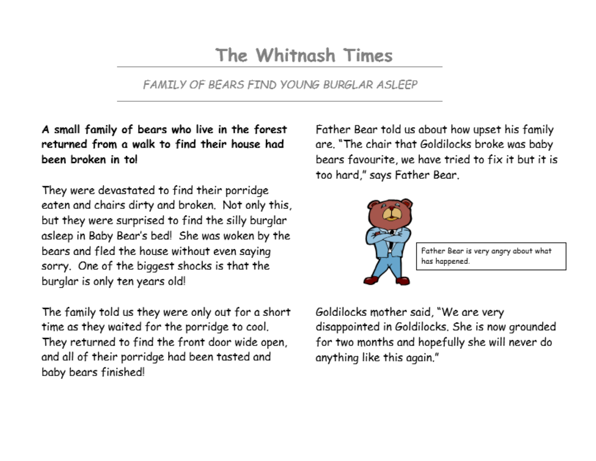## The Whitnash Times

FAMILY OF BEARS FIND YOUNG BURGLAR ASLEEP

A small family of bears who live in the forest returned from a walk to find their house had been broken in to!

They were devastated to find their porridge eaten and chairs dirty and broken. Not only this, but they were surprised to find the silly burglar asleep in Baby Bear's bed! She was woken by the bears and fled the house without even saying sorry. One of the biggest shocks is that the burglar is only ten years old!

The family told us they were only out for a short time as they waited for the porridge to cool. They returned to find the front door wide open. and all of their porridge had been tasted and baby bears finished!

Father Bear told us about how upset his family are, "The chair that Goldilocks broke was baby bears favourite, we have tried to fix it but it is too hard," says Father Bear.



Father Bear is very angry about what has happened.

Goldilocks mother said, "We are very disappointed in Goldilocks. She is now grounded for two months and hopefully she will never do anything like this again."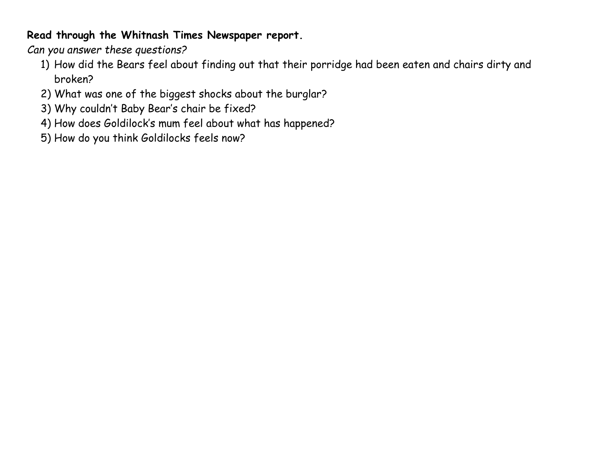## **Read through the Whitnash Times Newspaper report.**

*Can you answer these questions?*

- 1) How did the Bears feel about finding out that their porridge had been eaten and chairs dirty and broken?
- 2) What was one of the biggest shocks about the burglar?
- 3) Why couldn't Baby Bear's chair be fixed?
- 4) How does Goldilock's mum feel about what has happened?
- 5) How do you think Goldilocks feels now?